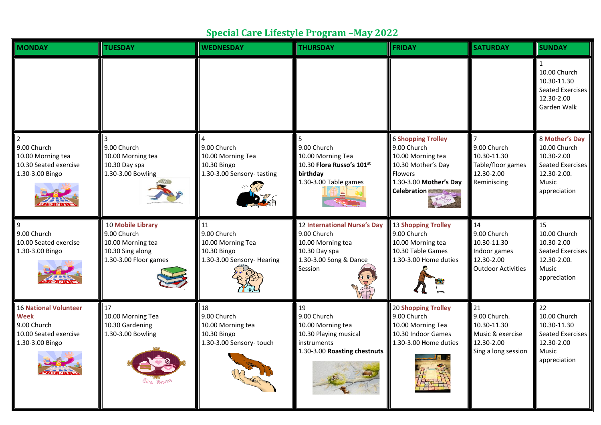## **Special Care Lifestyle Program –May 2022**

| <b>MONDAY</b>                                                                                          | <b>TUESDAY</b>                                                                                     | <b>WEDNESDAY</b>                                                                    | <b>THURSDAY</b>                                                                                                               | <b>FRIDAY</b>                                                                                                                                  | <b>SATURDAY</b>                                                                             | <b>SUNDAY</b>                                                                                            |
|--------------------------------------------------------------------------------------------------------|----------------------------------------------------------------------------------------------------|-------------------------------------------------------------------------------------|-------------------------------------------------------------------------------------------------------------------------------|------------------------------------------------------------------------------------------------------------------------------------------------|---------------------------------------------------------------------------------------------|----------------------------------------------------------------------------------------------------------|
|                                                                                                        |                                                                                                    |                                                                                     |                                                                                                                               |                                                                                                                                                |                                                                                             | 10.00 Church<br>10.30-11.30<br>Seated Exercises<br>12.30-2.00<br>Garden Walk                             |
| 9.00 Church<br>10.00 Morning tea<br>10.30 Seated exercise<br>1.30-3.00 Bingo                           | 9.00 Church<br>10.00 Morning tea<br>10.30 Day spa<br>1.30-3.00 Bowling                             | 9.00 Church<br>10.00 Morning Tea<br>10.30 Bingo<br>1.30-3.00 Sensory-tasting        | 5<br>9.00 Church<br>10.00 Morning Tea<br>10.30 Flora Russo's 101st<br>birthday<br>1.30-3.00 Table games                       | <b>6 Shopping Trolley</b><br>9.00 Church<br>10.00 Morning tea<br>10.30 Mother's Day<br>Flowers<br>1.30-3.00 Mother's Day<br><b>Celebration</b> | 9.00 Church<br>10.30-11.30<br>Table/floor games<br>12.30-2.00<br>Reminiscing                | 8 Mother's Day<br>10.00 Church<br>10.30-2.00<br>Seated Exercises<br>12.30-2.00.<br>Music<br>appreciation |
| 9<br>9.00 Church<br>10.00 Seated exercise<br>1.30-3.00 Bingo                                           | 10 Mobile Library<br>9.00 Church<br>10.00 Morning tea<br>10.30 Sing along<br>1.30-3.00 Floor games | 11<br>9.00 Church<br>10.00 Morning Tea<br>10.30 Bingo<br>1.30-3.00 Sensory- Hearing | <b>12 International Nurse's Day</b><br>9.00 Church<br>10.00 Morning tea<br>10.30 Day spa<br>1.30-3.00 Song & Dance<br>Session | <b>13 Shopping Trolley</b><br>9.00 Church<br>10.00 Morning tea<br>10.30 Table Games<br>1.30-3.00 Home duties                                   | 14<br>9.00 Church<br>10.30-11.30<br>Indoor games<br>12.30-2.00<br><b>Outdoor Activities</b> | 15<br>10.00 Church<br>10.30-2.00<br>Seated Exercises<br>12.30-2.00.<br>Music<br>appreciation             |
| <b>16 National Volunteer</b><br><b>Week</b><br>9.00 Church<br>10.00 Seated exercise<br>1.30-3.00 Bingo | 17<br>10.00 Morning Tea<br>10.30 Gardening<br>1.30-3.00 Bowling                                    | 18<br>9.00 Church<br>10.00 Morning tea<br>10.30 Bingo<br>1.30-3.00 Sensory-touch    | 19<br>9.00 Church<br>10.00 Morning tea<br>10.30 Playing musical<br>instruments<br>1.30-3.00 Roasting chestnuts                | <b>20 Shopping Trolley</b><br>9.00 Church<br>10.00 Morning Tea<br>10.30 Indoor Games<br>1.30-3.00 Home duties                                  | 21<br>9.00 Church.<br>10.30-11.30<br>Music & exercise<br>12.30-2.00<br>Sing a long session  | 22<br>10.00 Church<br>10.30-11.30<br>Seated Exercises<br>12.30-2.00<br>Music<br>appreciation             |